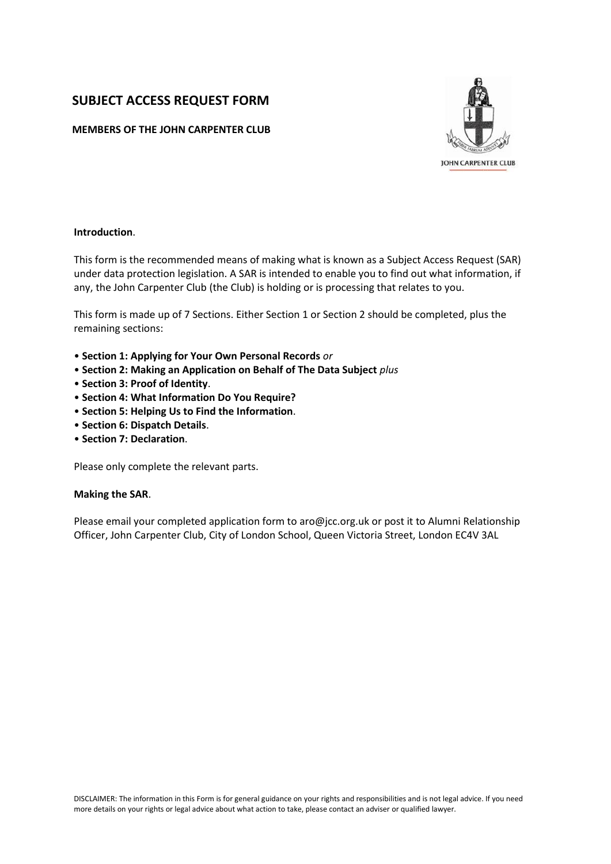# **SUBJECT ACCESS REQUEST FORM**

# **MEMBERS OF THE JOHN CARPENTER CLUB**



# **Introduction**.

This form is the recommended means of making what is known as a Subject Access Request (SAR) under data protection legislation. A SAR is intended to enable you to find out what information, if any, the John Carpenter Club (the Club) is holding or is processing that relates to you.

This form is made up of 7 Sections. Either Section 1 or Section 2 should be completed, plus the remaining sections:

- **Section 1: Applying for Your Own Personal Records** *or*
- **Section 2: Making an Application on Behalf of The Data Subject** *plus*
- **Section 3: Proof of Identity**.
- **Section 4: What Information Do You Require?**
- **Section 5: Helping Us to Find the Information**.
- **Section 6: Dispatch Details**.
- **Section 7: Declaration**.

Please only complete the relevant parts.

#### **Making the SAR**.

Please email your completed application form to aro@jcc.org.uk or post it to Alumni Relationship Officer, John Carpenter Club, City of London School, Queen Victoria Street, London EC4V 3AL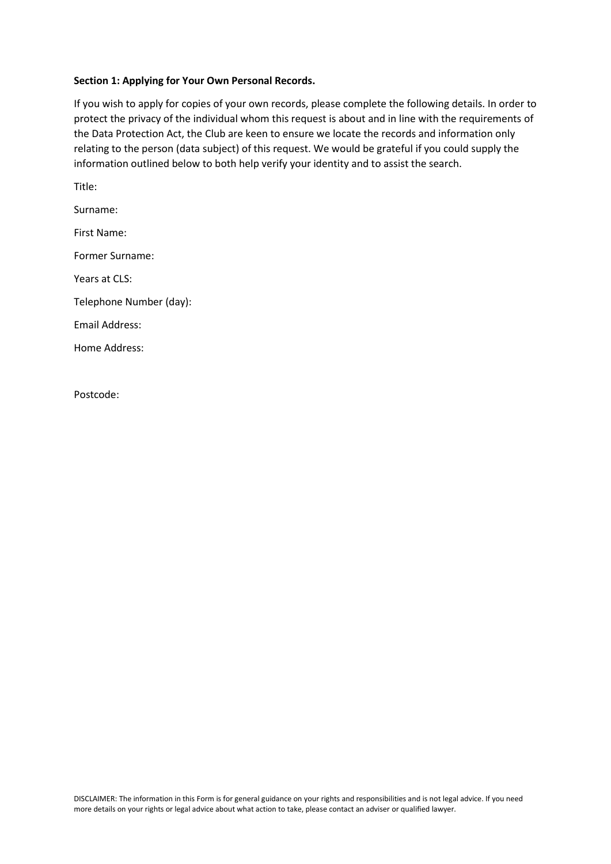# **Section 1: Applying for Your Own Personal Records.**

If you wish to apply for copies of your own records, please complete the following details. In order to protect the privacy of the individual whom this request is about and in line with the requirements of the Data Protection Act, the Club are keen to ensure we locate the records and information only relating to the person (data subject) of this request. We would be grateful if you could supply the information outlined below to both help verify your identity and to assist the search.

Title: Surname: First Name: Former Surname: Years at CLS: Telephone Number (day): Email Address: Home Address:

Postcode: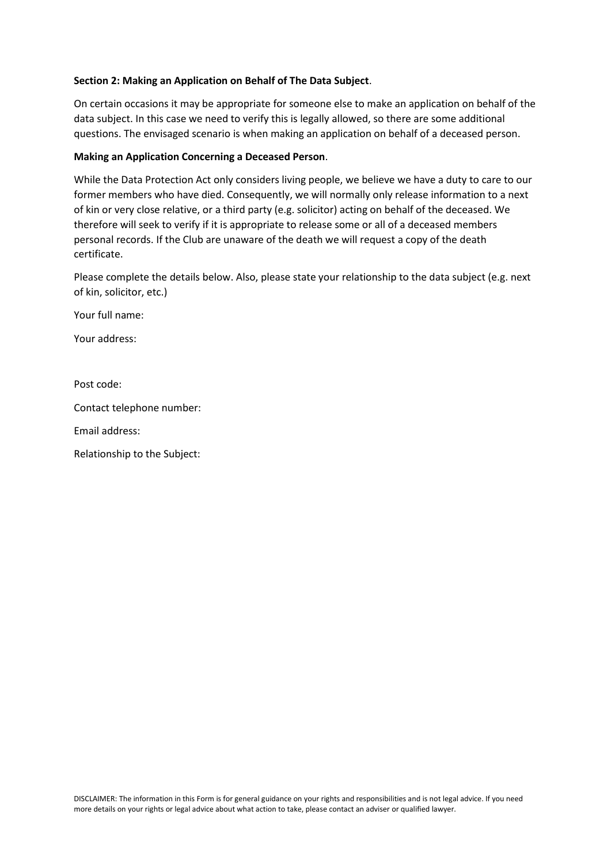# **Section 2: Making an Application on Behalf of The Data Subject**.

On certain occasions it may be appropriate for someone else to make an application on behalf of the data subject. In this case we need to verify this is legally allowed, so there are some additional questions. The envisaged scenario is when making an application on behalf of a deceased person.

# **Making an Application Concerning a Deceased Person**.

While the Data Protection Act only considers living people, we believe we have a duty to care to our former members who have died. Consequently, we will normally only release information to a next of kin or very close relative, or a third party (e.g. solicitor) acting on behalf of the deceased. We therefore will seek to verify if it is appropriate to release some or all of a deceased members personal records. If the Club are unaware of the death we will request a copy of the death certificate.

Please complete the details below. Also, please state your relationship to the data subject (e.g. next of kin, solicitor, etc.)

Your full name:

Your address:

Post code:

Contact telephone number:

Email address:

Relationship to the Subject: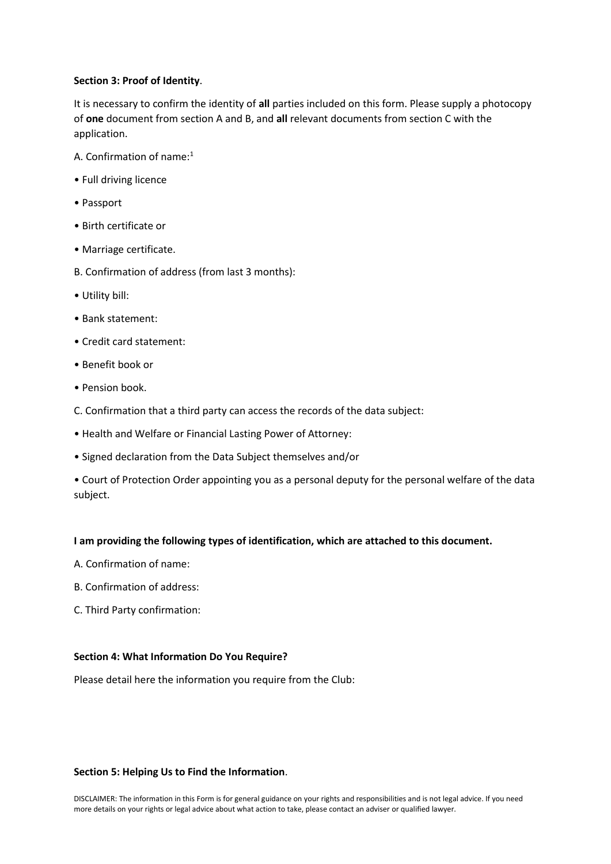# **Section 3: Proof of Identity**.

It is necessary to confirm the identity of **all** parties included on this form. Please supply a photocopy of **one** document from section A and B, and **all** relevant documents from section C with the application.

- A. Confirmation of name:<sup>1</sup>
- Full driving licence
- Passport
- Birth certificate or
- Marriage certificate.
- B. Confirmation of address (from last 3 months):
- Utility bill:
- Bank statement:
- Credit card statement:
- Benefit book or
- Pension book.
- C. Confirmation that a third party can access the records of the data subject:
- Health and Welfare or Financial Lasting Power of Attorney:
- Signed declaration from the Data Subject themselves and/or

• Court of Protection Order appointing you as a personal deputy for the personal welfare of the data subject.

# **I am providing the following types of identification, which are attached to this document.**

- A. Confirmation of name:
- B. Confirmation of address:
- C. Third Party confirmation:

# **Section 4: What Information Do You Require?**

Please detail here the information you require from the Club:

# **Section 5: Helping Us to Find the Information**.

DISCLAIMER: The information in this Form is for general guidance on your rights and responsibilities and is not legal advice. If you need more details on your rights or legal advice about what action to take, please contact an adviser or qualified lawyer.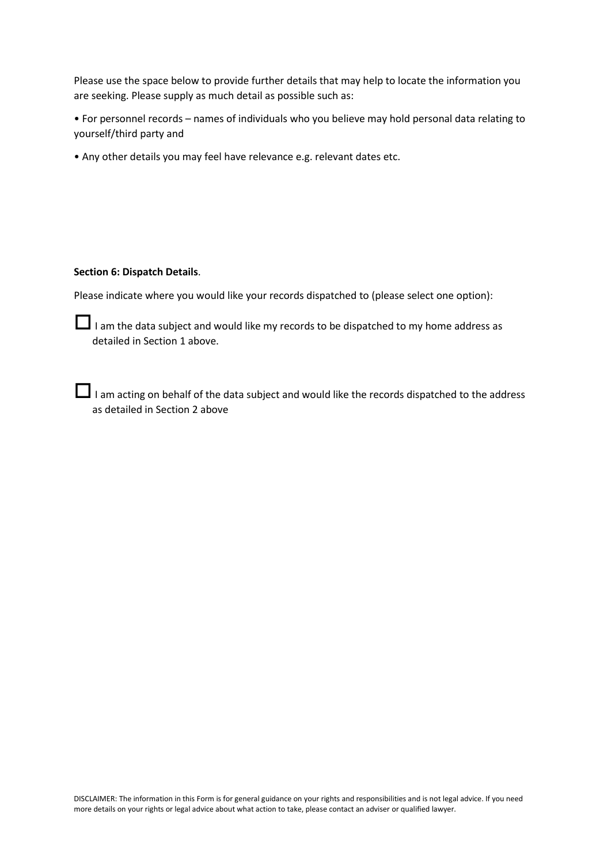Please use the space below to provide further details that may help to locate the information you are seeking. Please supply as much detail as possible such as:

• For personnel records – names of individuals who you believe may hold personal data relating to yourself/third party and

• Any other details you may feel have relevance e.g. relevant dates etc.

#### **Section 6: Dispatch Details**.

Please indicate where you would like your records dispatched to (please select one option):

 $\Box$  I am the data subject and would like my records to be dispatched to my home address as detailed in Section 1 above.

I am acting on behalf of the data subject and would like the records dispatched to the address as detailed in Section 2 above